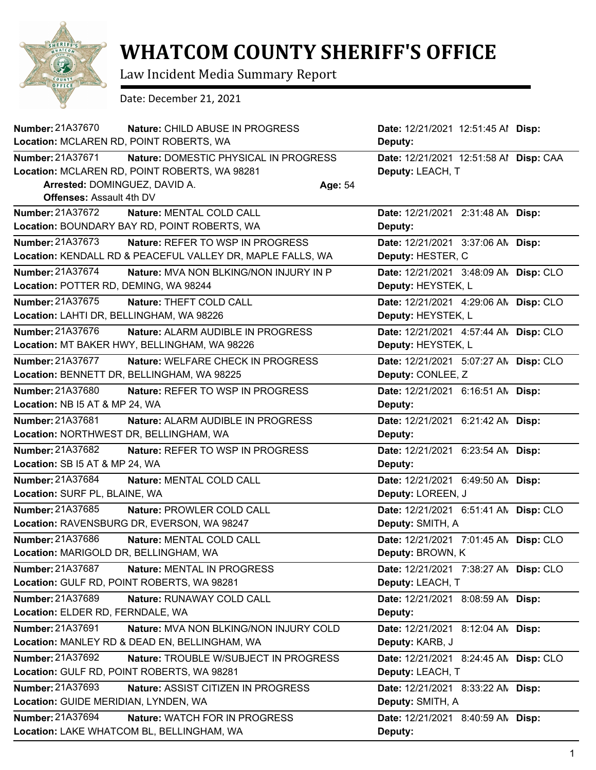

## **WHATCOM COUNTY SHERIFF'S OFFICE**

Law Incident Media Summary Report

Date: December 21, 2021

| Number: 21A37670                         | Nature: CHILD ABUSE IN PROGRESS                            | Date: 12/21/2021 12:51:45 Al Disp:     |  |
|------------------------------------------|------------------------------------------------------------|----------------------------------------|--|
| Location: MCLAREN RD, POINT ROBERTS, WA  |                                                            | Deputy:                                |  |
| <b>Number: 21A37671</b>                  | Nature: DOMESTIC PHYSICAL IN PROGRESS                      | Date: 12/21/2021 12:51:58 Al Disp: CAA |  |
|                                          | Location: MCLAREN RD, POINT ROBERTS, WA 98281              | Deputy: LEACH, T                       |  |
| Arrested: DOMINGUEZ, DAVID A.            | Age: 54                                                    |                                        |  |
| <b>Offenses: Assault 4th DV</b>          |                                                            |                                        |  |
| <b>Number: 21A37672</b>                  | Nature: MENTAL COLD CALL                                   | Date: 12/21/2021 2:31:48 AN Disp:      |  |
|                                          | Location: BOUNDARY BAY RD, POINT ROBERTS, WA               | Deputy:                                |  |
| Number: 21A37673                         | Nature: REFER TO WSP IN PROGRESS                           | Date: 12/21/2021 3:37:06 AN Disp:      |  |
|                                          | Location: KENDALL RD & PEACEFUL VALLEY DR, MAPLE FALLS, WA | Deputy: HESTER, C                      |  |
| Number: 21A37674                         | <b>Nature: MVA NON BLKING/NON INJURY IN P</b>              | Date: 12/21/2021 3:48:09 AN Disp: CLO  |  |
| Location: POTTER RD, DEMING, WA 98244    |                                                            | Deputy: HEYSTEK, L                     |  |
| Number: 21A37675                         | Nature: THEFT COLD CALL                                    | Date: 12/21/2021 4:29:06 AN Disp: CLO  |  |
| Location: LAHTI DR, BELLINGHAM, WA 98226 |                                                            | Deputy: HEYSTEK, L                     |  |
| Number: 21A37676                         | Nature: ALARM AUDIBLE IN PROGRESS                          | Date: 12/21/2021 4:57:44 AN Disp: CLO  |  |
|                                          | Location: MT BAKER HWY, BELLINGHAM, WA 98226               | Deputy: HEYSTEK, L                     |  |
| Number: 21A37677                         | Nature: WELFARE CHECK IN PROGRESS                          | Date: 12/21/2021 5:07:27 AN Disp: CLO  |  |
|                                          | Location: BENNETT DR, BELLINGHAM, WA 98225                 | Deputy: CONLEE, Z                      |  |
| Number: 21A37680                         | <b>Nature: REFER TO WSP IN PROGRESS</b>                    | Date: 12/21/2021 6:16:51 AN Disp:      |  |
| Location: NB I5 AT & MP 24, WA           |                                                            | Deputy:                                |  |
| <b>Number: 21A37681</b>                  | Nature: ALARM AUDIBLE IN PROGRESS                          | Date: 12/21/2021 6:21:42 AN Disp:      |  |
| Location: NORTHWEST DR, BELLINGHAM, WA   |                                                            | Deputy:                                |  |
| <b>Number: 21A37682</b>                  | Nature: REFER TO WSP IN PROGRESS                           | Date: 12/21/2021 6:23:54 AN Disp:      |  |
| Location: SB I5 AT & MP 24, WA           |                                                            | Deputy:                                |  |
| <b>Number: 21A37684</b>                  | Nature: MENTAL COLD CALL                                   | Date: 12/21/2021 6:49:50 AN Disp:      |  |
| Location: SURF PL, BLAINE, WA            |                                                            | Deputy: LOREEN, J                      |  |
| Number: 21A37685                         | Nature: PROWLER COLD CALL                                  | Date: 12/21/2021 6:51:41 AN Disp: CLO  |  |
|                                          | Location: RAVENSBURG DR, EVERSON, WA 98247                 | Deputy: SMITH, A                       |  |
| Number: 21A37686                         | Nature: MENTAL COLD CALL                                   | Date: 12/21/2021 7:01:45 AN Disp: CLO  |  |
| Location: MARIGOLD DR, BELLINGHAM, WA    |                                                            | Deputy: BROWN, K                       |  |
| Number: 21A37687                         | Nature: MENTAL IN PROGRESS                                 | Date: 12/21/2021 7:38:27 AN Disp: CLO  |  |
|                                          | Location: GULF RD, POINT ROBERTS, WA 98281                 | Deputy: LEACH, T                       |  |
| Number: 21A37689                         | Nature: RUNAWAY COLD CALL                                  | Date: 12/21/2021 8:08:59 AM Disp:      |  |
| Location: ELDER RD, FERNDALE, WA         |                                                            | Deputy:                                |  |
| Number: 21A37691                         | Nature: MVA NON BLKING/NON INJURY COLD                     | Date: 12/21/2021 8:12:04 AN Disp:      |  |
|                                          | Location: MANLEY RD & DEAD EN, BELLINGHAM, WA              | Deputy: KARB, J                        |  |
| Number: 21A37692                         | Nature: TROUBLE W/SUBJECT IN PROGRESS                      | Date: 12/21/2021 8:24:45 AN Disp: CLO  |  |
|                                          | Location: GULF RD, POINT ROBERTS, WA 98281                 | Deputy: LEACH, T                       |  |
| Number: 21A37693                         | Nature: ASSIST CITIZEN IN PROGRESS                         | Date: 12/21/2021 8:33:22 AN Disp:      |  |
| Location: GUIDE MERIDIAN, LYNDEN, WA     |                                                            | Deputy: SMITH, A                       |  |
| Number: 21A37694                         | Nature: WATCH FOR IN PROGRESS                              | Date: 12/21/2021 8:40:59 AM Disp:      |  |
|                                          | Location: LAKE WHATCOM BL, BELLINGHAM, WA                  | Deputy:                                |  |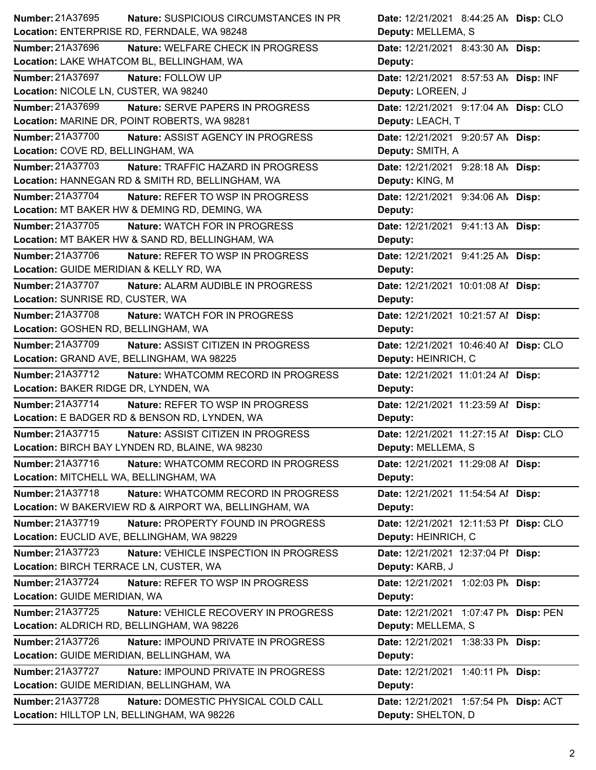| Number: 21A37695<br><b>Nature: SUSPICIOUS CIRCUMSTANCES IN PR</b> | Date: 12/21/2021 8:44:25 AN Disp: CLO  |
|-------------------------------------------------------------------|----------------------------------------|
| Location: ENTERPRISE RD, FERNDALE, WA 98248                       | Deputy: MELLEMA, S                     |
| Number: 21A37696<br>Nature: WELFARE CHECK IN PROGRESS             | Date: 12/21/2021 8:43:30 AN Disp:      |
| Location: LAKE WHATCOM BL, BELLINGHAM, WA                         | Deputy:                                |
| Number: 21A37697<br>Nature: FOLLOW UP                             | Date: 12/21/2021 8:57:53 AN Disp: INF  |
| Location: NICOLE LN, CUSTER, WA 98240                             | Deputy: LOREEN, J                      |
| Number: 21A37699<br><b>Nature: SERVE PAPERS IN PROGRESS</b>       | Date: 12/21/2021 9:17:04 AN Disp: CLO  |
| Location: MARINE DR, POINT ROBERTS, WA 98281                      | Deputy: LEACH, T                       |
| Number: 21A37700<br>Nature: ASSIST AGENCY IN PROGRESS             | Date: 12/21/2021 9:20:57 AN Disp:      |
| Location: COVE RD, BELLINGHAM, WA                                 | Deputy: SMITH, A                       |
| Number: 21A37703<br>Nature: TRAFFIC HAZARD IN PROGRESS            | Date: 12/21/2021 9:28:18 AN Disp:      |
| Location: HANNEGAN RD & SMITH RD, BELLINGHAM, WA                  | Deputy: KING, M                        |
| Number: 21A37704<br>Nature: REFER TO WSP IN PROGRESS              | Date: 12/21/2021 9:34:06 AN Disp:      |
| Location: MT BAKER HW & DEMING RD, DEMING, WA                     | Deputy:                                |
| Number: 21A37705<br><b>Nature: WATCH FOR IN PROGRESS</b>          | Date: 12/21/2021 9:41:13 AN Disp:      |
| Location: MT BAKER HW & SAND RD, BELLINGHAM, WA                   | Deputy:                                |
| Number: 21A37706<br>Nature: REFER TO WSP IN PROGRESS              | Date: 12/21/2021 9:41:25 AN Disp:      |
| Location: GUIDE MERIDIAN & KELLY RD, WA                           | Deputy:                                |
| Number: 21A37707<br>Nature: ALARM AUDIBLE IN PROGRESS             | Date: 12/21/2021 10:01:08 Al Disp:     |
| Location: SUNRISE RD, CUSTER, WA                                  | Deputy:                                |
| Number: 21A37708<br>Nature: WATCH FOR IN PROGRESS                 | Date: 12/21/2021 10:21:57 Al Disp:     |
| Location: GOSHEN RD, BELLINGHAM, WA                               | Deputy:                                |
| Number: 21A37709<br>Nature: ASSIST CITIZEN IN PROGRESS            | Date: 12/21/2021 10:46:40 Al Disp: CLO |
| Location: GRAND AVE, BELLINGHAM, WA 98225                         | Deputy: HEINRICH, C                    |
|                                                                   |                                        |
| Number: 21A37712<br>Nature: WHATCOMM RECORD IN PROGRESS           | Date: 12/21/2021 11:01:24 Al Disp:     |
| Location: BAKER RIDGE DR, LYNDEN, WA                              | Deputy:                                |
| Number: 21A37714<br>Nature: REFER TO WSP IN PROGRESS              | Date: 12/21/2021 11:23:59 Al Disp:     |
| Location: E BADGER RD & BENSON RD, LYNDEN, WA                     | Deputy:                                |
| Number: 21A37715<br>Nature: ASSIST CITIZEN IN PROGRESS            | Date: 12/21/2021 11:27:15 Al Disp: CLO |
| Location: BIRCH BAY LYNDEN RD, BLAINE, WA 98230                   | Deputy: MELLEMA, S                     |
| Number: 21A37716<br>Nature: WHATCOMM RECORD IN PROGRESS           | Date: 12/21/2021 11:29:08 Al Disp:     |
| Location: MITCHELL WA, BELLINGHAM, WA                             | Deputy:                                |
| Number: 21A37718<br>Nature: WHATCOMM RECORD IN PROGRESS           | Date: 12/21/2021 11:54:54 Al Disp:     |
| Location: W BAKERVIEW RD & AIRPORT WA, BELLINGHAM, WA             | Deputy:                                |
| Number: 21A37719<br>Nature: PROPERTY FOUND IN PROGRESS            | Date: 12/21/2021 12:11:53 PI Disp: CLO |
| Location: EUCLID AVE, BELLINGHAM, WA 98229                        | Deputy: HEINRICH, C                    |
| Number: 21A37723<br>Nature: VEHICLE INSPECTION IN PROGRESS        | Date: 12/21/2021 12:37:04 PI Disp:     |
| Location: BIRCH TERRACE LN, CUSTER, WA                            | Deputy: KARB, J                        |
| Number: 21A37724<br>Nature: REFER TO WSP IN PROGRESS              | Date: 12/21/2021 1:02:03 PM Disp:      |
| Location: GUIDE MERIDIAN, WA                                      | Deputy:                                |
| Number: 21A37725<br>Nature: VEHICLE RECOVERY IN PROGRESS          | Date: 12/21/2021 1:07:47 PN Disp: PEN  |
| Location: ALDRICH RD, BELLINGHAM, WA 98226                        | Deputy: MELLEMA, S                     |
| Number: 21A37726<br>Nature: IMPOUND PRIVATE IN PROGRESS           | Date: 12/21/2021 1:38:33 PM Disp:      |
| Location: GUIDE MERIDIAN, BELLINGHAM, WA                          | Deputy:                                |
| Number: 21A37727<br>Nature: IMPOUND PRIVATE IN PROGRESS           | Date: 12/21/2021 1:40:11 PM Disp:      |
| Location: GUIDE MERIDIAN, BELLINGHAM, WA                          | Deputy:                                |
| Number: 21A37728<br>Nature: DOMESTIC PHYSICAL COLD CALL           | Date: 12/21/2021 1:57:54 PN Disp: ACT  |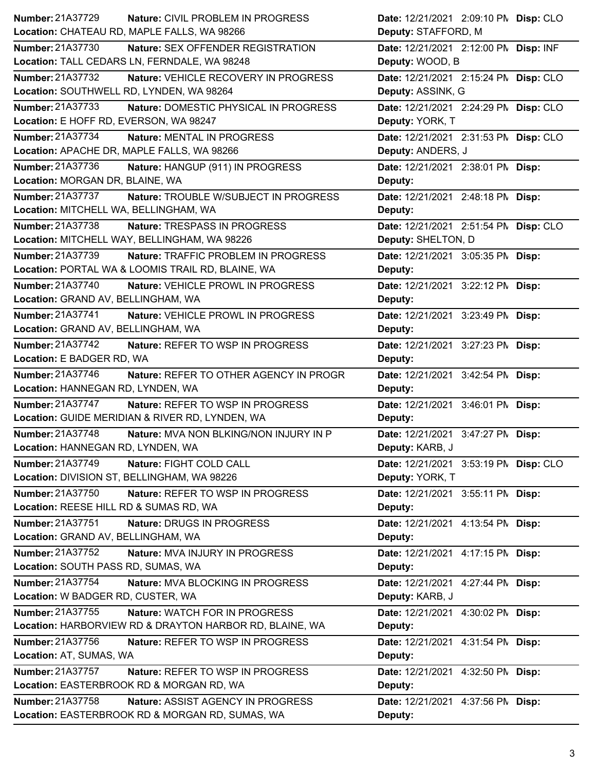| <b>Number: 21A37729</b>                                 | <b>Nature: CIVIL PROBLEM IN PROGRESS</b>   | Date: 12/21/2021 2:09:10 PM Disp: CLO |  |
|---------------------------------------------------------|--------------------------------------------|---------------------------------------|--|
| Location: CHATEAU RD, MAPLE FALLS, WA 98266             |                                            | Deputy: STAFFORD, M                   |  |
| <b>Number: 21A37730</b>                                 | Nature: SEX OFFENDER REGISTRATION          | Date: 12/21/2021 2:12:00 PM Disp: INF |  |
| Location: TALL CEDARS LN, FERNDALE, WA 98248            |                                            | Deputy: WOOD, B                       |  |
| Number: 21A37732                                        | Nature: VEHICLE RECOVERY IN PROGRESS       | Date: 12/21/2021 2:15:24 PM Disp: CLO |  |
| Location: SOUTHWELL RD, LYNDEN, WA 98264                |                                            | Deputy: ASSINK, G                     |  |
| <b>Number: 21A37733</b>                                 | Nature: DOMESTIC PHYSICAL IN PROGRESS      | Date: 12/21/2021 2:24:29 PN Disp: CLO |  |
| Location: E HOFF RD, EVERSON, WA 98247                  |                                            | Deputy: YORK, T                       |  |
| Number: 21A37734                                        | Nature: MENTAL IN PROGRESS                 | Date: 12/21/2021 2:31:53 PN Disp: CLO |  |
| Location: APACHE DR, MAPLE FALLS, WA 98266              |                                            | Deputy: ANDERS, J                     |  |
| Number: 21A37736                                        | Nature: HANGUP (911) IN PROGRESS           | Date: 12/21/2021 2:38:01 PM Disp:     |  |
| Location: MORGAN DR, BLAINE, WA                         |                                            | Deputy:                               |  |
| <b>Number: 21A37737</b>                                 | Nature: TROUBLE W/SUBJECT IN PROGRESS      | Date: 12/21/2021 2:48:18 PM Disp:     |  |
| Location: MITCHELL WA, BELLINGHAM, WA                   |                                            | Deputy:                               |  |
| Number: 21A37738                                        | Nature: TRESPASS IN PROGRESS               | Date: 12/21/2021 2:51:54 PN Disp: CLO |  |
| Location: MITCHELL WAY, BELLINGHAM, WA 98226            |                                            | Deputy: SHELTON, D                    |  |
| <b>Number: 21A37739</b>                                 | <b>Nature: TRAFFIC PROBLEM IN PROGRESS</b> | Date: 12/21/2021 3:05:35 PM Disp:     |  |
| Location: PORTAL WA & LOOMIS TRAIL RD, BLAINE, WA       |                                            | Deputy:                               |  |
| Number: 21A37740                                        | Nature: VEHICLE PROWL IN PROGRESS          | Date: 12/21/2021 3:22:12 PM Disp:     |  |
| Location: GRAND AV, BELLINGHAM, WA                      |                                            | Deputy:                               |  |
| <b>Number: 21A37741</b>                                 | Nature: VEHICLE PROWL IN PROGRESS          | Date: 12/21/2021 3:23:49 PM Disp:     |  |
| Location: GRAND AV, BELLINGHAM, WA                      |                                            | Deputy:                               |  |
| Number: 21A37742                                        | Nature: REFER TO WSP IN PROGRESS           | Date: 12/21/2021 3:27:23 PM Disp:     |  |
| Location: E BADGER RD, WA                               |                                            | Deputy:                               |  |
|                                                         |                                            |                                       |  |
| Number: 21A37746                                        | Nature: REFER TO OTHER AGENCY IN PROGR     | Date: 12/21/2021 3:42:54 PM Disp:     |  |
| Location: HANNEGAN RD, LYNDEN, WA                       |                                            | Deputy:                               |  |
| Number: 21A37747                                        | Nature: REFER TO WSP IN PROGRESS           | Date: 12/21/2021 3:46:01 PM Disp:     |  |
| Location: GUIDE MERIDIAN & RIVER RD, LYNDEN, WA         |                                            | Deputy:                               |  |
| Number: 21A37748                                        | Nature: MVA NON BLKING/NON INJURY IN P     | Date: 12/21/2021 3:47:27 PM Disp:     |  |
| Location: HANNEGAN RD, LYNDEN, WA                       |                                            | Deputy: KARB, J                       |  |
| <b>Number: 21A37749</b><br>Nature: FIGHT COLD CALL      |                                            | Date: 12/21/2021 3:53:19 PM Disp: CLO |  |
| Location: DIVISION ST, BELLINGHAM, WA 98226             |                                            | Deputy: YORK, T                       |  |
| Number: 21A37750                                        | Nature: REFER TO WSP IN PROGRESS           | Date: 12/21/2021 3:55:11 PM Disp:     |  |
| Location: REESE HILL RD & SUMAS RD, WA                  |                                            | Deputy:                               |  |
| Number: 21A37751                                        | Nature: DRUGS IN PROGRESS                  | Date: 12/21/2021 4:13:54 PM Disp:     |  |
| Location: GRAND AV, BELLINGHAM, WA                      |                                            | Deputy:                               |  |
| Number: 21A37752                                        | Nature: MVA INJURY IN PROGRESS             | Date: 12/21/2021 4:17:15 PM Disp:     |  |
| Location: SOUTH PASS RD, SUMAS, WA                      |                                            | Deputy:                               |  |
| Number: 21A37754                                        | Nature: MVA BLOCKING IN PROGRESS           | Date: 12/21/2021 4:27:44 PM Disp:     |  |
| Location: W BADGER RD, CUSTER, WA                       |                                            | Deputy: KARB, J                       |  |
| Number: 21A37755                                        | Nature: WATCH FOR IN PROGRESS              | Date: 12/21/2021 4:30:02 PM Disp:     |  |
| Location: HARBORVIEW RD & DRAYTON HARBOR RD, BLAINE, WA |                                            | Deputy:                               |  |
| Number: 21A37756                                        | Nature: REFER TO WSP IN PROGRESS           | Date: 12/21/2021 4:31:54 PM Disp:     |  |
| Location: AT, SUMAS, WA                                 |                                            | Deputy:                               |  |
| Number: 21A37757                                        | Nature: REFER TO WSP IN PROGRESS           | Date: 12/21/2021 4:32:50 PM Disp:     |  |
| Location: EASTERBROOK RD & MORGAN RD, WA                |                                            | Deputy:                               |  |
| <b>Number: 21A37758</b>                                 | Nature: ASSIST AGENCY IN PROGRESS          | Date: 12/21/2021 4:37:56 PM Disp:     |  |